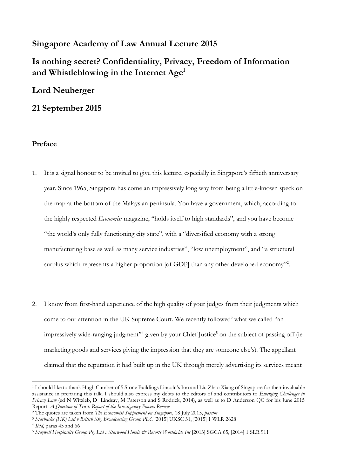# **Singapore Academy of Law Annual Lecture 2015**

# **Is nothing secret? Confidentiality, Privacy, Freedom of Information and Whistleblowing in the Internet Age<sup>1</sup>**

# **Lord Neuberger**

### **21 September 2015**

#### **Preface**

- 1. It is a signal honour to be invited to give this lecture, especially in Singapore's fiftieth anniversary year. Since 1965, Singapore has come an impressively long way from being a little-known speck on the map at the bottom of the Malaysian peninsula. You have a government, which, according to the highly respected *Economist* magazine, "holds itself to high standards", and you have become "the world's only fully functioning city state", with a "diversified economy with a strong manufacturing base as well as many service industries", "low unemployment", and "a structural surplus which represents a higher proportion [of GDP] than any other developed economy"<sup>2</sup>.
- 2. I know from first-hand experience of the high quality of your judges from their judgments which come to our attention in the UK Supreme Court. We recently followed<sup>3</sup> what we called "an impressively wide-ranging judgment"<sup>4</sup> given by your Chief Justice<sup>5</sup> on the subject of passing off (ie marketing goods and services giving the impression that they are someone else's). The appellant claimed that the reputation it had built up in the UK through merely advertising its services meant

 $\overline{\phantom{a}}$ <sup>1</sup> I should like to thank Hugh Cumber of 5 Stone Buildings Lincoln's Inn and Liu Zhao Xiang of Singapore for their invaluable assistance in preparing this talk. I should also express my debts to the editors of and contributors to *Emerging Challenges in Privacy Law (ed N Witzleb, D Lindsay, M Paterson and S Rodrick, 2014), as well as to D Anderson QC for his June 2015* Report, *A Question of Trust: Report of the Investigatory Powers Review*

<sup>2</sup> The quotes are taken from *The Economist Supplement on Singapore*, 18 July 2015, *passim*

<sup>3</sup> *Starbucks (HK) Ltd v British Sky Broadcasting Group PLC* [2015] UKSC 31, [2015] 1 WLR 2628

<sup>4</sup> *Ibid*, paras 45 and 66

<sup>5</sup> *Staywell Hospitality Group Pty Ltd v Starwood Hotels & Resorts Worldwide Inc* [2013] SGCA 65, [2014] 1 SLR 911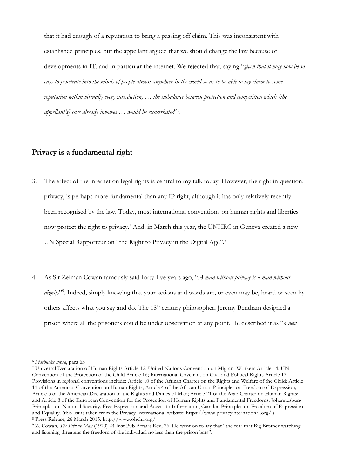that it had enough of a reputation to bring a passing off claim. This was inconsistent with established principles, but the appellant argued that we should change the law because of developments in IT, and in particular the internet. We rejected that, saying "*given that it may now be so easy to penetrate into the minds of people almost anywhere in the world so as to be able to lay claim to some reputation within virtually every jurisdiction, … the imbalance between protection and competition which [the appellant's] case already involves … would be exacerbated*" 6 .

### **Privacy is a fundamental right**

- 3. The effect of the internet on legal rights is central to my talk today. However, the right in question, privacy, is perhaps more fundamental than any IP right, although it has only relatively recently been recognised by the law. Today, most international conventions on human rights and liberties now protect the right to privacy.<sup>7</sup> And, in March this year, the UNHRC in Geneva created a new UN Special Rapporteur on "the Right to Privacy in the Digital Age".<sup>8</sup>
- 4. As Sir Zelman Cowan famously said forty-five years ago, "*A man without privacy is a man without*  dignity"<sup>9</sup>. Indeed, simply knowing that your actions and words are, or even may be, heard or seen by others affects what you say and do. The 18<sup>th</sup> century philosopher, Jeremy Bentham designed a prison where all the prisoners could be under observation at any point. He described it as "*a new*

<sup>6</sup> *Starbucks supra*, para 63

<sup>7</sup> Universal Declaration of Human Rights Article 12; United Nations Convention on Migrant Workers Article 14; UN Convention of the Protection of the Child Article 16; International Covenant on Civil and Political Rights Article 17. Provisions in regional conventions include: Article 10 of the African Charter on the Rights and Welfare of the Child; Article 11 of the American Convention on Human Rights; Article 4 of the African Union Principles on Freedom of Expression; Article 5 of the American Declaration of the Rights and Duties of Man; Article 21 of the Arab Charter on Human Rights; and Article 8 of the European Convention for the Protection of Human Rights and Fundamental Freedoms; Johannesburg Principles on National Security, Free Expression and Access to Information, Camden Principles on Freedom of Expression and Equality. (this list is taken from the Privacy International website:<https://www.privacyinternational.org/> ) <sup>8</sup> Press Release, 26 March 2015:<http://www.ohchr.org/>

<sup>9</sup> Z. Cowan, *The Private Man* (1970) 24 Inst Pub Affairs Rev, 26. He went on to say that "the fear that Big Brother watching and listening threatens the freedom of the individual no less than the prison bars".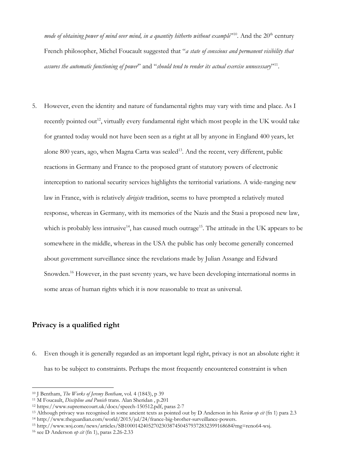mode of obtaining power of mind over mind, in a quantity hitherto without example<sup>210</sup>. And the 20<sup>th</sup> century French philosopher, Michel Foucault suggested that "*a state of conscious and permanent visibility that assures the automatic functioning of power*" and "*should tend to render its actual exercise unnecessary*" 11 .

5. However, even the identity and nature of fundamental rights may vary with time and place. As I recently pointed out<sup>12</sup>, virtually every fundamental right which most people in the UK would take for granted today would not have been seen as a right at all by anyone in England 400 years, let alone 800 years, ago, when Magna Carta was sealed<sup>13</sup>. And the recent, very different, public reactions in Germany and France to the proposed grant of statutory powers of electronic interception to national security services highlights the territorial variations. A wide-ranging new law in France, with is relatively *dirigiste* tradition, seems to have prompted a relatively muted response, whereas in Germany, with its memories of the Nazis and the Stasi a proposed new law, which is probably less intrusive<sup>14</sup>, has caused much outrage<sup>15</sup>. The attitude in the UK appears to be somewhere in the middle, whereas in the USA the public has only become generally concerned about government surveillance since the revelations made by Julian Assange and Edward Snowden.<sup>16</sup> However, in the past seventy years, we have been developing international norms in some areas of human rights which it is now reasonable to treat as universal.

### **Privacy is a qualified right**

 $\overline{a}$ 

6. Even though it is generally regarded as an important legal right, privacy is not an absolute right: it has to be subject to constraints. Perhaps the most frequently encountered constraint is when

<sup>10</sup> J Bentham, *The Works of Jeremy Bentham*, vol. 4 (1843), p 39

<sup>11</sup> M Foucault, *Discipline and Punish* trans. Alan Sheridan , p.201

<sup>12</sup> [https://www.supremecourt.uk/docs/speech-150512.pdf,](https://www.supremecourt.uk/docs/speech-150512.pdf) paras 2-7

<sup>13</sup> Although privacy was recognised in some ancient texts as pointed out by D Anderson in his *Review op cit* (fn 1) para 2.3

<sup>14</sup> http://www.theguardian.com/world/2015/jul/24/france-big-brother-surveillance-powers.

<sup>15</sup> [http://www.wsj.com/news/articles/SB10001424052702303874504579372832399168684?mg=reno64-wsj.](http://www.wsj.com/news/articles/SB10001424052702303874504579372832399168684?mg=reno64-wsj)

<sup>16</sup> see D Anderson *op cit* (fn 1), paras 2.26-2.33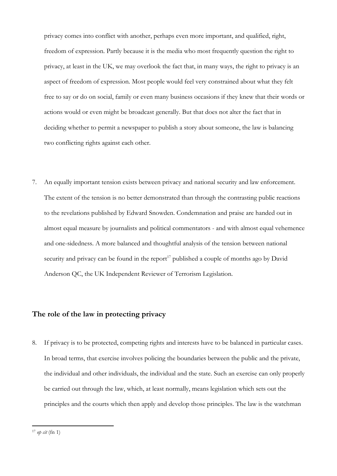privacy comes into conflict with another, perhaps even more important, and qualified, right, freedom of expression. Partly because it is the media who most frequently question the right to privacy, at least in the UK, we may overlook the fact that, in many ways, the right to privacy is an aspect of freedom of expression. Most people would feel very constrained about what they felt free to say or do on social, family or even many business occasions if they knew that their words or actions would or even might be broadcast generally. But that does not alter the fact that in deciding whether to permit a newspaper to publish a story about someone, the law is balancing two conflicting rights against each other.

7. An equally important tension exists between privacy and national security and law enforcement. The extent of the tension is no better demonstrated than through the contrasting public reactions to the revelations published by Edward Snowden. Condemnation and praise are handed out in almost equal measure by journalists and political commentators - and with almost equal vehemence and one-sidedness. A more balanced and thoughtful analysis of the tension between national security and privacy can be found in the report<sup>17</sup> published a couple of months ago by David Anderson QC, the UK Independent Reviewer of Terrorism Legislation.

### **The role of the law in protecting privacy**

8. If privacy is to be protected, competing rights and interests have to be balanced in particular cases. In broad terms, that exercise involves policing the boundaries between the public and the private, the individual and other individuals, the individual and the state. Such an exercise can only properly be carried out through the law, which, at least normally, means legislation which sets out the principles and the courts which then apply and develop those principles. The law is the watchman

 $17$  *op cit* (fn 1)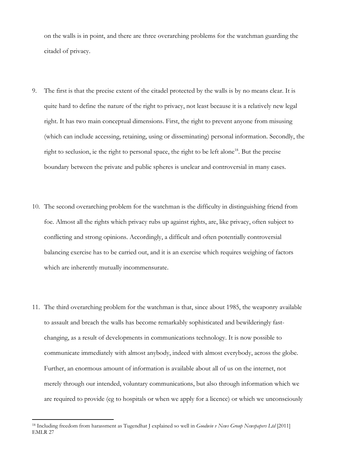on the walls is in point, and there are three overarching problems for the watchman guarding the citadel of privacy.

- 9. The first is that the precise extent of the citadel protected by the walls is by no means clear. It is quite hard to define the nature of the right to privacy, not least because it is a relatively new legal right. It has two main conceptual dimensions. First, the right to prevent anyone from misusing (which can include accessing, retaining, using or disseminating) personal information. Secondly, the right to seclusion, ie the right to personal space, the right to be left alone<sup>18</sup>. But the precise boundary between the private and public spheres is unclear and controversial in many cases.
- 10. The second overarching problem for the watchman is the difficulty in distinguishing friend from foe. Almost all the rights which privacy rubs up against rights, are, like privacy, often subject to conflicting and strong opinions. Accordingly, a difficult and often potentially controversial balancing exercise has to be carried out, and it is an exercise which requires weighing of factors which are inherently mutually incommensurate.
- 11. The third overarching problem for the watchman is that, since about 1985, the weaponry available to assault and breach the walls has become remarkably sophisticated and bewilderingly fastchanging, as a result of developments in communications technology. It is now possible to communicate immediately with almost anybody, indeed with almost everybody, across the globe. Further, an enormous amount of information is available about all of us on the internet, not merely through our intended, voluntary communications, but also through information which we are required to provide (eg to hospitals or when we apply for a licence) or which we unconsciously

<sup>18</sup> Including freedom from harassment as Tugendhat J explained so well in *Goodwin v News Group Newspapers Ltd* [2011] EMLR 27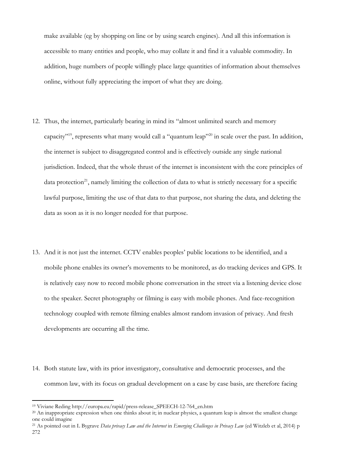make available (eg by shopping on line or by using search engines). And all this information is accessible to many entities and people, who may collate it and find it a valuable commodity. In addition, huge numbers of people willingly place large quantities of information about themselves online, without fully appreciating the import of what they are doing.

- 12. Thus, the internet, particularly bearing in mind its "almost unlimited search and memory capacity"<sup>19</sup>, represents what many would call a "quantum leap"<sup>20</sup> in scale over the past. In addition, the internet is subject to disaggregated control and is effectively outside any single national jurisdiction. Indeed, that the whole thrust of the internet is inconsistent with the core principles of data protection<sup>21</sup>, namely limiting the collection of data to what is strictly necessary for a specific lawful purpose, limiting the use of that data to that purpose, not sharing the data, and deleting the data as soon as it is no longer needed for that purpose.
- 13. And it is not just the internet. CCTV enables peoples' public locations to be identified, and a mobile phone enables its owner's movements to be monitored, as do tracking devices and GPS. It is relatively easy now to record mobile phone conversation in the street via a listening device close to the speaker. Secret photography or filming is easy with mobile phones. And face-recognition technology coupled with remote filming enables almost random invasion of privacy. And fresh developments are occurring all the time.
- 14. Both statute law, with its prior investigatory, consultative and democratic processes, and the common law, with its focus on gradual development on a case by case basis, are therefore facing

<sup>19</sup> Viviane Reding http://europa.eu/rapid/press-release\_SPEECH-12-764\_en.htm

<sup>&</sup>lt;sup>20</sup> An inappropriate expression when one thinks about it; in nuclear physics, a quantum leap is almost the smallest change one could imagine

<sup>21</sup> As pointed out in L Bygrave *Data privacy Law and the Internet* in *Emerging Challenges in Privacy Law* (ed Witzleb et al, 2014) p 272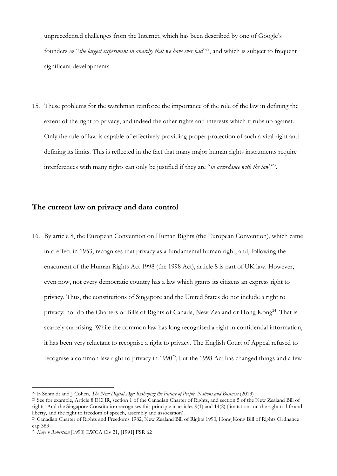unprecedented challenges from the Internet, which has been described by one of Google's founders as "*the largest experiment in anarchy that we have ever had*"<sup>22</sup>, and which is subject to frequent significant developments.

15. These problems for the watchman reinforce the importance of the role of the law in defining the extent of the right to privacy, and indeed the other rights and interests which it rubs up against. Only the rule of law is capable of effectively providing proper protection of such a vital right and defining its limits. This is reflected in the fact that many major human rights instruments require interferences with many rights can only be justified if they are "*in accordance with the law*"<sup>23</sup>.

#### **The current law on privacy and data control**

16. By article 8, the European Convention on Human Rights (the European Convention), which came into effect in 1953, recognises that privacy as a fundamental human right, and, following the enactment of the Human Rights Act 1998 (the 1998 Act), article 8 is part of UK law. However, even now, not every democratic country has a law which grants its citizens an express right to privacy. Thus, the constitutions of Singapore and the United States do not include a right to privacy; nor do the Charters or Bills of Rights of Canada, New Zealand or Hong Kong<sup>24</sup>. That is scarcely surprising. While the common law has long recognised a right in confidential information, it has been very reluctant to recognise a right to privacy. The English Court of Appeal refused to recognise a common law right to privacy in 1990<sup>25</sup>, but the 1998 Act has changed things and a few

<sup>22</sup> E Schmidt and J Cohen, *The New Digital Age: Reshaping the Future of People, Nations and Business* (2013)

<sup>&</sup>lt;sup>23</sup> See for example, Article 8 ECHR, section 1 of the Canadian Charter of Rights, and section 5 of the New Zealand Bill of rights. And the Singapore Constitution recognises this principle in articles 9(1) and 14(2) (limitations on the right to life and liberty, and the right to freedom of speech, assembly and association).

<sup>24</sup> Canadian Charter of Rights and Freedoms 1982, New Zealand Bill of Rights 1990, Hong Kong Bill of Rights Ordnance cap 383

<sup>25</sup> *Kaye v Robertson* [1990] EWCA Civ 21, [1991] FSR 62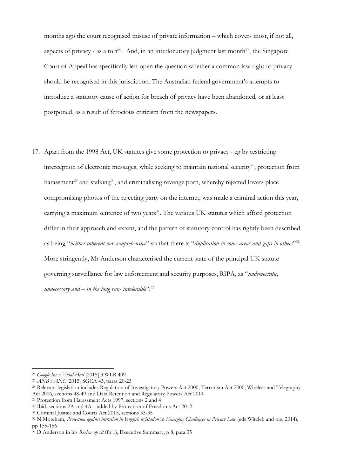months ago the court recognised misuse of private information – which covers most, if not all, aspects of privacy - as a tort<sup>26</sup>. And, in an interlocutory judgment last month<sup>27</sup>, the Singapore Court of Appeal has specifically left open the question whether a common law right to privacy should be recognised in this jurisdiction. The Australian federal government's attempts to introduce a statutory cause of action for breach of privacy have been abandoned, or at least postponed, as a result of ferocious criticism from the newspapers.

17. Apart from the 1998 Act, UK statutes give some protection to privacy - eg by restricting interception of electronic messages, while seeking to maintain national security<sup>28</sup>, protection from harassment<sup>29</sup> and stalking<sup>30</sup>, and criminalising revenge porn, whereby rejected lovers place compromising photos of the rejecting party on the internet, was made a criminal action this year, carrying a maximum sentence of two years<sup>31</sup>. The various UK statutes which afford protection differ in their approach and extent, and the pattern of statutory control has rightly been described as being "neither coherent nor comprehensive" so that there is "duplication in some areas and gaps in others<sup>132</sup>. More stringently, Mr Anderson characterised the current state of the principal UK statute governing surveillance for law enforcement and security purposes, RIPA, as "*undemocratic, unnecessary and – in the long run- intolerable*".<sup>33</sup>

l

<sup>26</sup> *Google Inc v Vidal-Hall* [2015] 3 WLR 409

<sup>27</sup> *ANB v ANC* [2015] SGCA 43, paras 20-23

<sup>28</sup> Relevant legislation includes Regulation of Investigatory Powers Act 2000, Terrorism Act 2000, Wireless and Telegraphy Act 2006, sections 48-49 and Data Retention and Regulatory Powers Act 2014

<sup>29</sup> Protection from Harassment Acts 1997, sections 2 and 4

<sup>30</sup> Ibid, sections 2A and 4A – added by Protection of Freedoms Act 2012

<sup>31</sup> Criminal Justice and Courts Act 2015, sections 33-35

<sup>32</sup> N Moreham, *Protection against intrusion in English legislation* in *Emerging Challenges in Privacy Law* (eds Witzleb and ors, 2014), pp 155-156

<sup>33</sup> D Anderson in his *Review op cit* (fn 1), Executive Summary, p 8, para 35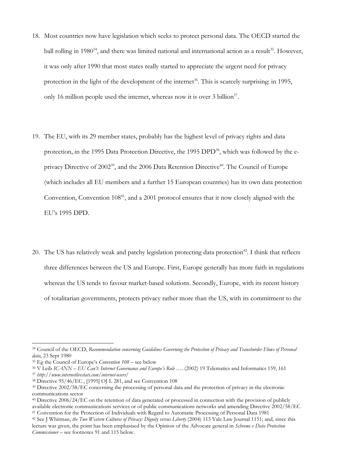- 18. Most countries now have legislation which seeks to protect personal data. The OECD started the ball rolling in 1980 $34$ , and there was limited national and international action as a result $35$ . However, it was only after 1990 that most states really started to appreciate the urgent need for privacy protection in the light of the development of the internet<sup>36</sup>. This is scarcely surprising: in 1995, only 16 million people used the internet, whereas now it is over 3 billion<sup>37</sup>.
- 19. The EU, with its 29 member states, probably has the highest level of privacy rights and data protection, in the 1995 Data Protection Directive, the 1995 DPD<sup>38</sup>, which was followed by the eprivacy Directive of 2002<sup>39</sup>, and the 2006 Data Retention Directive<sup>40</sup>. The Council of Europe (which includes all EU members and a further 15 European countries) has its own data protection Convention, Convention 108<sup>41</sup>, and a 2001 protocol ensures that it now closely aligned with the EU's 1995 DPD.
- 20. The US has relatively weak and patchy legislation protecting data protection<sup>42</sup>. I think that reflects three differences between the US and Europe. First, Europe generally has more faith in regulations whereas the US tends to favour market-based solutions. Secondly, Europe, with its recent history of totalitarian governments, protects privacy rather more than the US, with its commitment to the

<sup>34</sup> Council of the OECD, *Recommendation concerning Guidelines Governing the Protection of Privacy and Transborder Flows of Personal data*, 23 Sept 1980

<sup>35</sup> Eg the Council of Europe's *Convention 108* – see below

<sup>36</sup> V Leib *ICANN – EU Can't: Internet Governance and Europe's Role ….* (2002) 19 Telematics and Informatics 159, 161

<sup>37</sup> *http://www.internetlivestats.com/internet-users/*

<sup>38</sup> Directive 95/46/EC , [1995] OJ L 281, and see Convention 108

<sup>&</sup>lt;sup>39</sup> Directive 2002/58/EC concerning the processing of personal data and the protection of privacy in the electronic communications sector

<sup>40</sup> Directive 2006/24/EC on the retention of data generated or processed in connection with the provision of publicly available electronic communications services or of public communications networks and amending Directive 2002/58/EC <sup>41</sup> Convention for the Protection of Individuals with Regard to Automatic Processing of Personal Data 1981

<sup>42</sup> See J Whitman, *the Two Western Cultures of Privacy: Dignity versus Liberty* (2004) 113 Yale Law Journal 1151; and, since this lecture was given, the point has been emphasised by the Opinion of the Advocate general in *Schrems v Data Protection Commissioner* – see footnotes 91 and 115 below.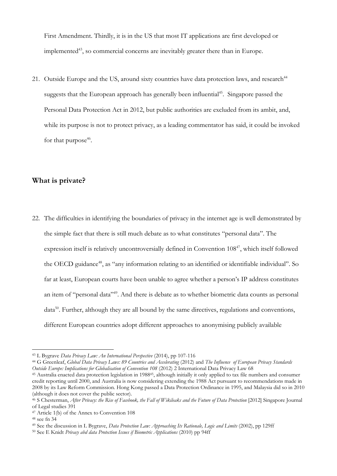First Amendment. Thirdly, it is in the US that most IT applications are first developed or implemented $43$ , so commercial concerns are inevitably greater there than in Europe.

21. Outside Europe and the US, around sixty countries have data protection laws, and research<sup>44</sup> suggests that the European approach has generally been influential<sup>45</sup>. Singapore passed the Personal Data Protection Act in 2012, but public authorities are excluded from its ambit, and, while its purpose is not to protect privacy, as a leading commentator has said, it could be invoked for that purpose<sup>46</sup>.

#### **What is private?**

22. The difficulties in identifying the boundaries of privacy in the internet age is well demonstrated by the simple fact that there is still much debate as to what constitutes "personal data". The expression itself is relatively uncontroversially defined in Convention  $108^{47}$ , which itself followed the OECD guidance<sup>48</sup>, as "any information relating to an identified or identifiable individual". So far at least, European courts have been unable to agree whether a person's IP address constitutes an item of "personal data"<sup>49</sup>. And there is debate as to whether biometric data counts as personal data<sup>50</sup>. Further, although they are all bound by the same directives, regulations and conventions, different European countries adopt different approaches to anonymising publicly available

<sup>43</sup> L Bygrave *Data Privacy Law: An International Perspective* (2014), pp 107-116

<sup>44</sup> G Greenleaf, *Global Data Privacy Laws: 89 Countries and Accelerating* (2012) and *The Influence of European Privacy Standards Outside Europe: Implications for Globalisation of Convention 108 (2012)* 2 International Data Privacy Law 68

<sup>45</sup> Australia enacted data protection legislation in 198845, although initially it only applied to tax file numbers and consumer credit reporting until 2000, and Australia is now considering extending the 1988 Act pursuant to recommendations made in 2008 by its Law Reform Commission. Hong Kong passed a Data Protection Ordinance in 1995, and Malaysia did so in 2010 (although it does not cover the public sector).

<sup>&</sup>lt;sup>46</sup> S Chesterman, *After Privacy: the Rise of Facebook, the Fall of Wikileaks and the Future of Data Protection [2012]* Singapore Journal of Legal studies 391

<sup>47</sup> Article 1(b) of the Annex to Convention 108

 $48$  see fn 34

<sup>49</sup> See the discussion in L Bygrave, *Data Protection Law: Approaching Its Rationale, Logic and Limits* (2002), pp 129ff

<sup>50</sup> See E Knidt *Privacy abd data Protection Issues if Biometric Applications* (2010) pp 94ff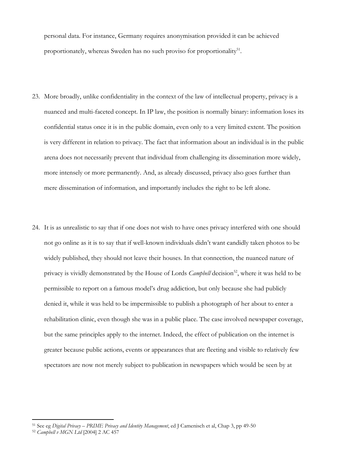personal data. For instance, Germany requires anonymisation provided it can be achieved proportionately, whereas Sweden has no such proviso for proportionality<sup>51</sup>.

- 23. More broadly, unlike confidentiality in the context of the law of intellectual property, privacy is a nuanced and multi-faceted concept. In IP law, the position is normally binary: information loses its confidential status once it is in the public domain, even only to a very limited extent. The position is very different in relation to privacy. The fact that information about an individual is in the public arena does not necessarily prevent that individual from challenging its dissemination more widely, more intensely or more permanently. And, as already discussed, privacy also goes further than mere dissemination of information, and importantly includes the right to be left alone.
- 24. It is as unrealistic to say that if one does not wish to have ones privacy interfered with one should not go online as it is to say that if well-known individuals didn't want candidly taken photos to be widely published, they should not leave their houses. In that connection, the nuanced nature of privacy is vividly demonstrated by the House of Lords *Campbell* decision<sup>52</sup>, where it was held to be permissible to report on a famous model's drug addiction, but only because she had publicly denied it, while it was held to be impermissible to publish a photograph of her about to enter a rehabilitation clinic, even though she was in a public place. The case involved newspaper coverage, but the same principles apply to the internet. Indeed, the effect of publication on the internet is greater because public actions, events or appearances that are fleeting and visible to relatively few spectators are now not merely subject to publication in newspapers which would be seen by at

<sup>51</sup> See eg *Digital Privacy – PRIME Privacy and Identity Management*, ed J Camenisch et al, Chap 3, pp 49-50

<sup>52</sup> *Campbell v MGN Ltd* [2004] 2 AC 457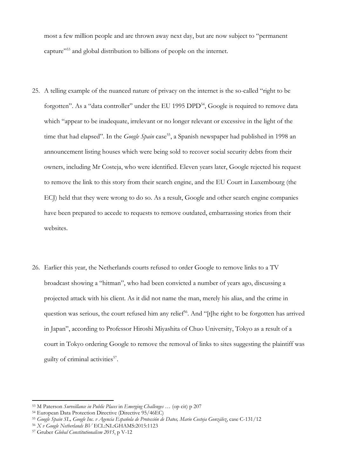most a few million people and are thrown away next day, but are now subject to "permanent capture"<sup>53</sup> and global distribution to billions of people on the internet.

- 25. A telling example of the nuanced nature of privacy on the internet is the so-called "right to be forgotten". As a "data controller" under the EU 1995 DPD<sup>54</sup>, Google is required to remove data which "appear to be inadequate, irrelevant or no longer relevant or excessive in the light of the time that had elapsed". In the *Google Spain* case<sup>55</sup>, a Spanish newspaper had published in 1998 an announcement listing houses which were being sold to recover social security debts from their owners, including Mr Costeja, who were identified. Eleven years later, Google rejected his request to remove the link to this story from their search engine, and the EU Court in Luxembourg (the ECJ) held that they were wrong to do so. As a result, Google and other search engine companies have been prepared to accede to requests to remove outdated, embarrassing stories from their websites.
- 26. Earlier this year, the Netherlands courts refused to order Google to remove links to a TV broadcast showing a "hitman", who had been convicted a number of years ago, discussing a projected attack with his client. As it did not name the man, merely his alias, and the crime in question was serious, the court refused him any relief<sup>56</sup>. And "[t]he right to be forgotten has arrived in Japan", according to Professor Hiroshi Miyashita of Chuo University, Tokyo as a result of a court in Tokyo ordering Google to remove the removal of links to sites suggesting the plaintiff was guilty of criminal activities<sup>57</sup>.

<sup>53</sup> M Paterson *Surveillance in Public Places* in *Emerging Challenges …* (op cit) p 207

<sup>54</sup> European Data Protection Directive (Directive 95/46EC)

<sup>55</sup> *Google Spain SL, Google Inc. v Agencia Española de Protección de Datos, Mario Costeja González*, case C-131/12

<sup>56</sup> *X v Google Netherlands BV* ECL:NL:GHAMS:2015:1123

<sup>57</sup> Gruber *Global Constitutionalism 2015*, p V-12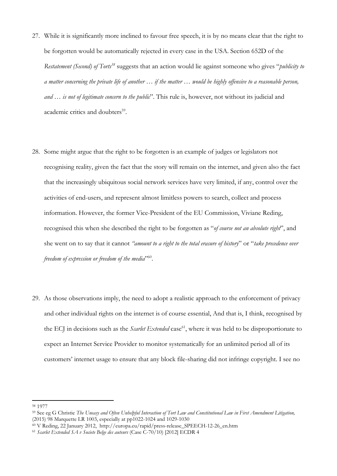- 27. While it is significantly more inclined to favour free speech, it is by no means clear that the right to be forgotten would be automatically rejected in every case in the USA. Section 652D of the *Restatement (Second) of Torts<sup>58</sup>* suggests that an action would lie against someone who gives "*publicity to a matter concerning the private life of another … if the matter … would be highly offensive to a reasonable person, and … is not of legitimate concern to the public*". This rule is, however, not without its judicial and academic critics and doubters<sup>59</sup>.
- 28. Some might argue that the right to be forgotten is an example of judges or legislators not recognising reality, given the fact that the story will remain on the internet, and given also the fact that the increasingly ubiquitous social network services have very limited, if any, control over the activities of end-users, and represent almost limitless powers to search, collect and process information. However, the former Vice-President of the EU Commission, Viviane Reding, recognised this when she described the right to be forgotten as "*of course not an absolute right*", and she went on to say that it cannot *"amount to a right to the total erasure of history*" or "*take precedence over*  freedom of expression or freedom of the media<sup>360</sup>.
- 29. As those observations imply, the need to adopt a realistic approach to the enforcement of privacy and other individual rights on the internet is of course essential, And that is, I think, recognised by the ECJ in decisions such as the *Scarlet Extended* case<sup>61</sup>, where it was held to be disproportionate to expect an Internet Service Provider to monitor systematically for an unlimited period all of its customers' internet usage to ensure that any block file-sharing did not infringe copyright. I see no

 $\overline{\phantom{a}}$ <sup>58</sup> 1977

<sup>59</sup> See eg G Christie *The Uneasy and Often Unhelpful Interaction of Tort Law and Constitutional Law in First Amendment Litigation,*  (2015) 98 Marquette LR 1003, especially at pp1022-1024 and 1029-1030

<sup>60</sup> V Reding, 22 January 2012, http://europa.eu/rapid/press-release\_SPEECH-12-26\_en.htm

<sup>61</sup> *Scarlet Extended SA v Societe Belge des auteurs* (Case C-70/10) [2012] ECDR 4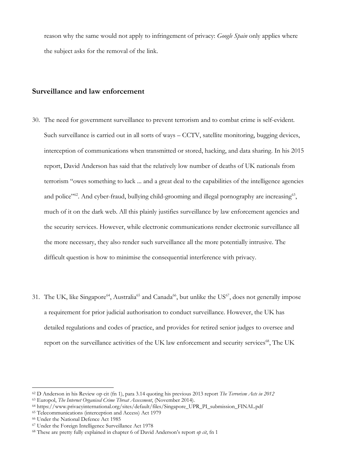reason why the same would not apply to infringement of privacy: *Google Spain* only applies where the subject asks for the removal of the link.

#### **Surveillance and law enforcement**

- 30. The need for government surveillance to prevent terrorism and to combat crime is self-evident. Such surveillance is carried out in all sorts of ways – CCTV, satellite monitoring, bugging devices, interception of communications when transmitted or stored, hacking, and data sharing. In his 2015 report, David Anderson has said that the relatively low number of deaths of UK nationals from terrorism "owes something to luck ... and a great deal to the capabilities of the intelligence agencies and police"<sup>62</sup>. And cyber-fraud, bullying child-grooming and illegal pornography are increasing<sup>63</sup>, much of it on the dark web. All this plainly justifies surveillance by law enforcement agencies and the security services. However, while electronic communications render electronic surveillance all the more necessary, they also render such surveillance all the more potentially intrusive. The difficult question is how to minimise the consequential interference with privacy.
- 31. The UK, like Singapore<sup>64</sup>, Australia<sup>65</sup> and Canada<sup>66</sup>, but unlike the US<sup>67</sup>, does not generally impose a requirement for prior judicial authorisation to conduct surveillance. However, the UK has detailed regulations and codes of practice, and provides for retired senior judges to oversee and report on the surveillance activities of the UK law enforcement and security services<sup>68</sup>, The UK

<sup>62</sup> D Anderson in his Review op cit (fn 1), para 3.14 quoting his previous 2013 report *The Terrorism Acts in 2012*

<sup>63</sup> Europol, *The Internet Organised Crime Threat Assessment*, (November 2014).

<sup>64</sup> [https://www.privacyinternational.org/sites/default/files/Singapore\\_UPR\\_PI\\_submission\\_FINAL.pdf](https://www.privacyinternational.org/sites/default/files/Singapore_UPR_PI_submission_FINAL.pdf)

<sup>65</sup> Telecommunications (interception and Access) Act 1979

<sup>66</sup> Under the National Defence Act 1985

<sup>67</sup> Under the Foreign Intelligence Surveillance Act 1978

<sup>68</sup> These are pretty fully explained in chapter 6 of David Anderson's report *op cit*, fn 1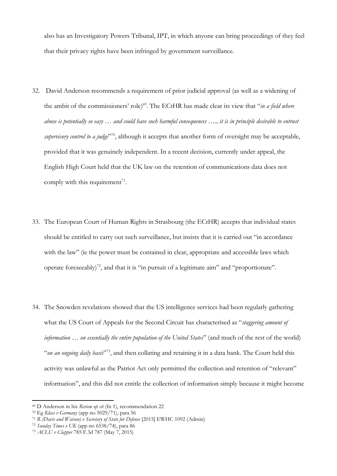also has an Investigatory Powers Tribunal, IPT, in which anyone can bring proceedings of they feel that their privacy rights have been infringed by government surveillance.

- 32. David Anderson recommends a requirement of prior judicial approval (as well as a widening of the ambit of the commissioners' role) <sup>69</sup>. The ECtHR has made clear its view that "*in a field where abuse is potentially so easy … and could have such harmful consequences …., it is in principle desirable to entrust supervisory control to a judge*" <sup>70</sup>, although it accepts that another form of oversight may be acceptable, provided that it was genuinely independent. In a recent decision, currently under appeal, the English High Court held that the UK law on the retention of communications data does not comply with this requirement<sup>71</sup>.
- 33. The European Court of Human Rights in Strasbourg (the ECtHR) accepts that individual states should be entitled to carry out such surveillance, but insists that it is carried out "in accordance with the law" (ie the power must be contained in clear, appropriate and accessible laws which operate foreseeably)<sup>72</sup>, and that it is "in pursuit of a legitimate aim" and "proportionate".
- 34. The Snowden revelations showed that the US intelligence services had been regularly gathering what the US Court of Appeals for the Second Circuit has characterised as "*staggering amount of information … on essentially the entire population of the United States*" (and much of the rest of the world) "on an ongoing daily basis"<sup>73</sup>, and then collating and retaining it in a data bank. The Court held this activity was unlawful as the Patriot Act only permitted the collection and retention of "relevant" information", and this did not entitle the collection of information simply because it might become

<sup>69</sup> D Anderson in his *Review op cit* (fn 1), recommendation 22

<sup>70</sup> Eg *Klass v Germany* (app no 5029/71), para 56

<sup>71</sup> *R (Davis and Watson) v Secretary of State for Defence* [2015] EWHC 1092 (Admin)

<sup>72</sup> *Sunday Times v UK* (app no 6538/74), para 86

<sup>73</sup> *ACLU v Clapper* 785 F.3d 787 (May 7, 2015)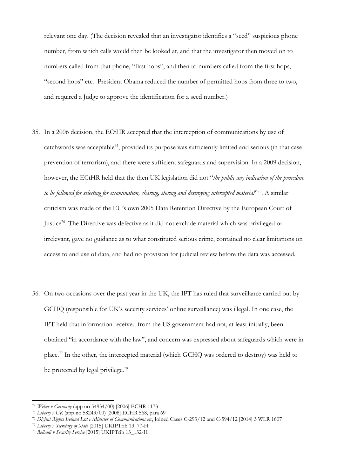relevant one day. (The decision revealed that an investigator identifies a "seed" suspicious phone number, from which calls would then be looked at, and that the investigator then moved on to numbers called from that phone, "first hops", and then to numbers called from the first hops, "second hops" etc. President Obama reduced the number of permitted hops from three to two, and required a Judge to approve the identification for a seed number.)

- 35. In a 2006 decision, the ECtHR accepted that the interception of communications by use of catchwords was acceptable<sup>74</sup>, provided its purpose was sufficiently limited and serious (in that case prevention of terrorism), and there were sufficient safeguards and supervision. In a 2009 decision, however, the ECtHR held that the then UK legislation did not "*the public any indication of the procedure*  to be followed for selecting for examination, sharing, storing and destroying intercepted material<sup>,75</sup>. A similar criticism was made of the EU's own 2005 Data Retention Directive by the European Court of Justice<sup>76</sup>. The Directive was defective as it did not exclude material which was privileged or irrelevant, gave no guidance as to what constituted serious crime, contained no clear limitations on access to and use of data, and had no provision for judicial review before the data was accessed.
- 36. On two occasions over the past year in the UK, the IPT has ruled that surveillance carried out by GCHQ (responsible for UK's security services' online surveillance) was illegal. In one case, the IPT held that information received from the US government had not, at least initially, been obtained "in accordance with the law", and concern was expressed about safeguards which were in place.<sup>77</sup> In the other, the intercepted material (which GCHQ was ordered to destroy) was held to be protected by legal privilege.<sup>78</sup>

<sup>74</sup> *Weber v Germany* (app no 54934/00) [2006] ECHR 1173

<sup>75</sup> *Liberty v UK* (app no 58243/00) [2008] ECHR 568, para 69

<sup>76</sup> *Digital Rights Ireland Ltd v Minister of Communications etc*, Joined Cases C-293/12 and C-594/12 [2014] 3 WLR 1607

<sup>77</sup> *Liberty v Secretary of State* [2015] UKIPTrib 13\_77-H

<sup>78</sup> *Belhadj v Security Service* [2015] UKIPTrib 13\_132-H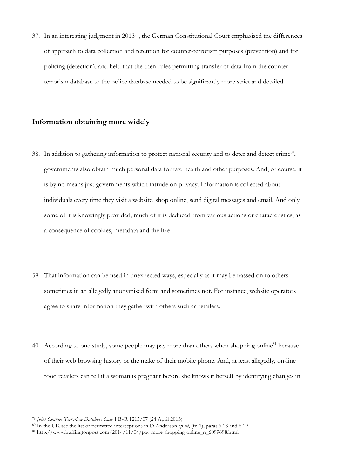37. In an interesting judgment in 2013<sup>79</sup>, the German Constitutional Court emphasised the differences of approach to data collection and retention for counter-terrorism purposes (prevention) and for policing (detection), and held that the then-rules permitting transfer of data from the counterterrorism database to the police database needed to be significantly more strict and detailed.

### **Information obtaining more widely**

- 38. In addition to gathering information to protect national security and to deter and detect crime<sup>80</sup>, governments also obtain much personal data for tax, health and other purposes. And, of course, it is by no means just governments which intrude on privacy. Information is collected about individuals every time they visit a website, shop online, send digital messages and email. And only some of it is knowingly provided; much of it is deduced from various actions or characteristics, as a consequence of cookies, metadata and the like.
- 39. That information can be used in unexpected ways, especially as it may be passed on to others sometimes in an allegedly anonymised form and sometimes not. For instance, website operators agree to share information they gather with others such as retailers.
- 40. According to one study, some people may [pay more than others when shopping online](http://www.huffingtonpost.com/2014/11/04/pay-more-shopping-online_n_6099698.html)<sup>81</sup> because of their web browsing history or the make of their mobile phone. And, at least allegedly, on-line food retailers can tell if a woman is pregnant before she knows it herself by identifying changes in

<sup>79</sup> *Joint Counter-Terrorism Database Case* 1 BvR 1215/07 (24 April 2013)

<sup>80</sup> In the UK see the list of permitted interceptions in D Anderson *op cit*, (fn 1), paras 6.18 and 6.19

<sup>&</sup>lt;sup>81</sup> http://www.huffingtonpost.com/2014/11/04/pay-more-shopping-online\_n\_6099698.html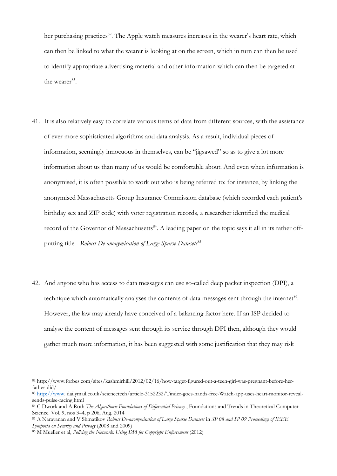her purchasing practices<sup>82</sup>. The Apple watch measures increases in the wearer's heart rate, which can then be linked to what the wearer is looking at on the screen, which in turn can then be used to identify appropriate advertising material and other information which can then be targeted at the wearer<sup>83</sup>.

- 41. It is also relatively easy to correlate various items of data from different sources, with the assistance of ever more sophisticated algorithms and data analysis. As a result, individual pieces of information, seemingly innocuous in themselves, can be "jigsawed" so as to give a lot more information about us than many of us would be comfortable about. And even when information is anonymised, it is often possible to work out who is being referred to: for instance, by linking the anonymised Massachusetts Group Insurance Commission database (which recorded each patient's birthday sex and ZIP code) with voter registration records, a researcher identified the medical record of the Governor of Massachusetts<sup>84</sup>. A leading paper on the topic says it all in its rather offputting title - Robust De-anonymisation of Large Sparse Datasets<sup>85</sup>.
- 42. And anyone who has access to data messages can use so-called deep packet inspection (DPI), a technique which automatically analyses the contents of data messages sent through the internet<sup>86</sup>. However, the law may already have conceived of a balancing factor here. If an ISP decided to analyse the content of messages sent through its service through DPI then, although they would gather much more information, it has been suggested with some justification that they may risk

<sup>82</sup> http://www.forbes.com/sites/kashmirhill/2012/02/16/how-target-figured-out-a-teen-girl-was-pregnant-before-herfather-did/

<sup>83</sup> [http://www.](http://www/) dailymail.co.uk/sciencetech/article-3152232/Tinder-goes-hands-free-Watch-app-uses-heart-monitor-revealsends-pulse-racing.html

<sup>84</sup> C Dwork and A Roth *The Algorithmic Foundations of Differential Privacy* , Foundations and Trends in Theoretical Computer Science. Vol. 9, nos 3–4, p 206, Aug. 2014

<sup>85</sup> A Narayanan and V Shmatikov *Robust De-anonymisation of Large Sparse Datasets* in *SP 08 and SP 09 Proceedings of IEEE Symposia on Security and Privacy* (2008 and 2009)

<sup>86</sup> M Mueller et al, *Policing the Network: Using DPI for Copyright Enforcement* (2012)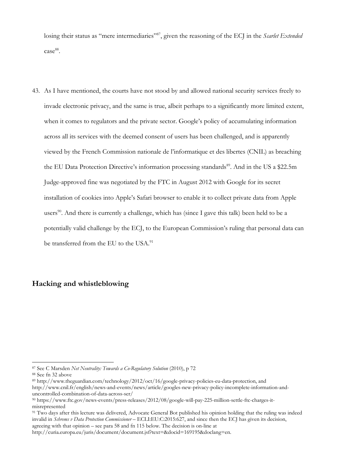losing their status as "mere intermediaries"<sup>87</sup>, given the reasoning of the ECJ in the *Scarlet Extended* case<sup>88</sup>.

43. As I have mentioned, the courts have not stood by and allowed national security services freely to invade electronic privacy, and the same is true, albeit perhaps to a significantly more limited extent, when it comes to regulators and the private sector. Google's policy of accumulating information across all its services with the deemed consent of users has been challenged, and is apparently viewed by the French Commission nationale de l'informatique et des libertes (CNIL) as breaching the EU Data Protection Directive's information processing standards<sup>89</sup>. And in the US a \$22.5m Judge-approved fine was negotiated by the FTC in August 2012 with Google for its secret installation of cookies into Apple's Safari browser to enable it to collect private data from Apple users<sup>90</sup>. And there is currently a challenge, which has (since I gave this talk) been held to be a potentially valid challenge by the ECJ, to the European Commission's ruling that personal data can be transferred from the EU to the USA.<sup>91</sup>

### **Hacking and whistleblowing**

<sup>87</sup> See C Marsden *Net Neutrality: Towards a Co-Regulatory Solution* (2010), p 72

<sup>88</sup> See fn 32 above

<sup>89</sup> [http://www.theguardian.com/technology/2012/oct/16/google-privacy-policies-eu-data-protection,](http://www.theguardian.com/technology/2012/oct/16/google-privacy-policies-eu-data-protection) and http://www.cnil.fr/english/news-and-events/news/article/googles-new-privacy-policy-incomplete-information-anduncontrolled-combination-of-data-across-ser/

<sup>90</sup> https://www.ftc.gov/news-events/press-releases/2012/08/google-will-pay-225-million-settle-ftc-charges-itmisrepresented

<sup>&</sup>lt;sup>91</sup> Two days after this lecture was delivered, Advocate General Bot published his opinion holding that the ruling was indeed invalid in *Schrems v Data Protection Commissioner* – ECLI:EU:C:2015:627, and since then the ECJ has given its decision, agreeing with that opinion – see para 58 and fn 115 below. The decision is on-line at

http://curia.europa.eu/juris/document/document.jsf?text=&docid=169195&doclang=en.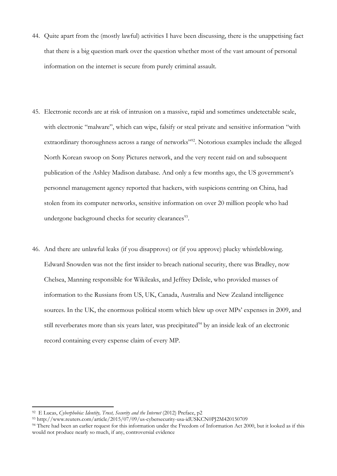- 44. Quite apart from the (mostly lawful) activities I have been discussing, there is the unappetising fact that there is a big question mark over the question whether most of the vast amount of personal information on the internet is secure from purely criminal assault.
- 45. Electronic records are at risk of intrusion on a massive, rapid and sometimes undetectable scale, with electronic "malware", which can wipe, falsify or steal private and sensitive information "with extraordinary thoroughness across a range of networks"<sup>92</sup>. Notorious examples include the alleged North Korean swoop on Sony Pictures network, and the very recent raid on and subsequent publication of the Ashley Madison database. And only a few months ago, the US government's personnel management agency reported that hackers, with suspicions centring on China, had stolen from its computer networks, sensitive information on over 20 million people who had undergone background checks for security clearances<sup>93</sup>.
- 46. And there are unlawful leaks (if you disapprove) or (if you approve) plucky whistleblowing. Edward Snowden was not the first insider to breach national security, there was Bradley, now Chelsea, Manning responsible for Wikileaks, and Jeffrey Delisle, who provided masses of information to the Russians from US, UK, Canada, Australia and New Zealand intelligence sources. In the UK, the enormous political storm which blew up over MPs' expenses in 2009, and still reverberates more than six years later, was precipitated $94$  by an inside leak of an electronic record containing every expense claim of every MP.

<sup>92</sup> E Lucas, *Cyberphobia: Identity, Trust, Security and the Internet* (2012) Preface, p2

<sup>93</sup> http://www.reuters.com/article/2015/07/09/us-cybersecurity-usa-idUSKCN0PJ2M420150709

<sup>&</sup>lt;sup>94</sup> There had been an earlier request for this information under the Freedom of Information Act 2000, but it looked as if this would not produce nearly so much, if any, controversial evidence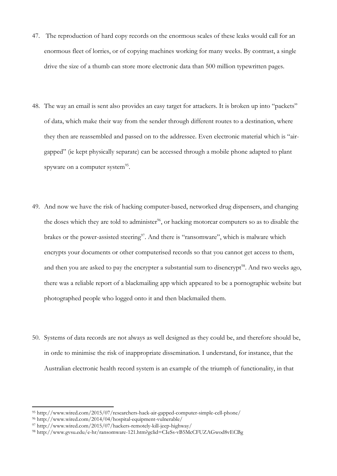- 47. The reproduction of hard copy records on the enormous scales of these leaks would call for an enormous fleet of lorries, or of copying machines working for many weeks. By contrast, a single drive the size of a thumb can store more electronic data than 500 million typewritten pages.
- 48. The way an email is sent also provides an easy target for attackers. It is broken up into "packets" of data, which make their way from the sender through different routes to a destination, where they then are reassembled and passed on to the addressee. Even electronic material which is "airgapped" (ie kept physically separate) can be accessed through a mobile phone adapted to plant spyware on a computer system<sup>95</sup>.
- 49. And now we have the risk of hacking computer-based, networked drug dispensers, and changing the doses which they are told to administer<sup>96</sup>, or hacking motorcar computers so as to disable the brakes or the power-assisted steering<sup>97</sup>. And there is "ransomware", which is malware which encrypts your documents or other computerised records so that you cannot get access to them, and then you are asked to pay the encrypter a substantial sum to disencrypt<sup>98</sup>. And two weeks ago, there was a reliable report of a blackmailing app which appeared to be a pornographic website but photographed people who logged onto it and then blackmailed them.
- 50. Systems of data records are not always as well designed as they could be, and therefore should be, in orde to minimise the risk of inappropriate dissemination. I understand, for instance, that the Australian electronic health record system is an example of the triumph of functionality, in that

<sup>95</sup> http://www.wired.com/2015/07/researchers-hack-air-gapped-computer-simple-cell-phone/

<sup>96</sup> http://www.wired.com/2014/04/hospital-equipment-vulnerable/

<sup>97</sup> http://www.wired.com/2015/07/hackers-remotely-kill-jeep-highway/

<sup>98</sup> http://www.gvsu.edu/e-hr/ransomware-121.htm?gclid=CIeSs-vB5McCFUZAGwod8vECBg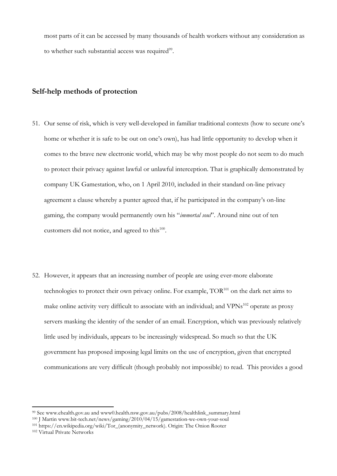most parts of it can be accessed by many thousands of health workers without any consideration as to whether such substantial access was required<sup>99</sup>.

#### **Self-help methods of protection**

- 51. Our sense of risk, which is very well-developed in familiar traditional contexts (how to secure one's home or whether it is safe to be out on one's own), has had little opportunity to develop when it comes to the brave new electronic world, which may be why most people do not seem to do much to protect their privacy against lawful or unlawful interception. That is graphically demonstrated by company UK Gamestation, who, on 1 April 2010, included in their standard on-line privacy agreement a clause whereby a punter agreed that, if he participated in the company's on-line gaming, the company would permanently own his "*immortal soul*". Around nine out of ten customers did not notice, and agreed to this<sup>100</sup>.
- 52. However, it appears that an increasing number of people are using ever-more elaborate technologies to protect their own privacy online. For example, TOR<sup>101</sup> on the dark net aims to make online activity very difficult to associate with an individual; and VPNs<sup>102</sup> operate as proxy servers masking the identity of the sender of an email. Encryption, which was previously relatively little used by individuals, appears to be increasingly widespread. So much so that the UK government has proposed imposing legal limits on the use of encryption, given that encrypted communications are very difficult (though probably not impossible) to read. This provides a good

<sup>99</sup> See [www.ehealth.gov.au](http://www.ehealth.gov.au/) and www0.health.nsw.gov.au/pubs/2008/healthlink\_summary.html

<sup>100</sup> J Martin www.bit-tech.net/news/gaming/2010/04/15/gamestation-we-own-your-soul

<sup>101</sup> [https://en.wikipedia.org/wiki/Tor\\_\(anonymity\\_network\).](https://en.wikipedia.org/wiki/Tor_(anonymity_network)) Origin: The Onion Rooter <sup>102</sup> Virtual Private Networks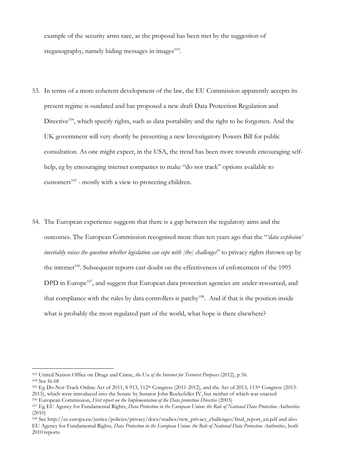example of the security arms race, as the proposal has been met by the suggestion of steganography, namely hiding messages in images<sup>103</sup>.

- 53. In terms of a more coherent development of the law, the EU Commission apparently accepts its present regime is outdated and has proposed a new draft Data Protection Regulation and Directive<sup>104</sup>, which specify rights, such as data portability and the right to be forgotten. And the UK government will very shortly be presenting a new Investigatory Powers Bill for public consultation. As one might expect, in the USA, the trend has been more towards encouraging selfhelp, eg by encouraging internet companies to make "do not track" options available to customers<sup>105</sup> - mostly with a view to protecting children.
- 54. The European experience suggests that there is a gap between the regulatory aims and the outcomes. The European Commission recognised more than ten years ago that the "*'data explosion' inevitably raises the question whether legislation can cope with [the] challenges*" to privacy rights thrown up by the internet<sup>106</sup>. Subsequent reports cast doubt on the effectiveness of enforcement of the 1995 DPD in Europe<sup>107</sup>, and suggest that European data protection agencies are under-resourced, and that compliance with the rules by data controllers is patchy<sup>108</sup>. And if that is the position inside what is probably the most regulated part of the world, what hope is there elsewhere?

l

<sup>103</sup> United Nation Office on Drugs and Crime, *the Use of the Internet for Terrorist Purposes* (2012), p 56. <sup>104</sup> See fn 68

<sup>&</sup>lt;sup>105</sup> Eg Do-Not-Track Online Act of 2011, S 913, 112<sup>th</sup> Congress (2011-2012), and the Act of 2013, 113<sup>th</sup> Congress (2013-2015), which were introduced into the Senate by Senator John Rockefeller IV, but neither of which was enacted

<sup>106</sup> European Commission, *First report on the Implementation of the Data protection Directive* (2003)

<sup>107</sup> Eg EU Agency for Fundamental Rights, *Data Protection in the European Union: the Role of National Data Protection Authorities*   $(2010)$ 

<sup>&</sup>lt;sup>108</sup> See http://ec.europa.eu/justice/policies/privacy/docs/studies/new\_privacy\_challenges/final\_report\_en.pdf and also EU Agency for Fundamental Rights, *Data Protection in the European Union: the Role of National Data Protection Authorities*, both 2010 reports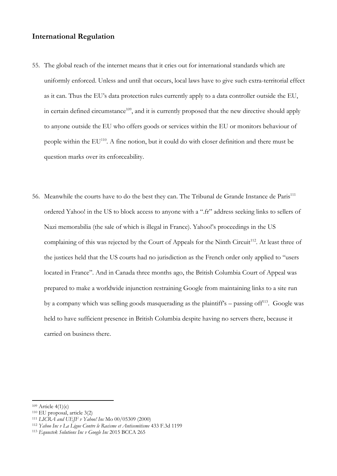#### **International Regulation**

- 55. The global reach of the internet means that it cries out for international standards which are uniformly enforced. Unless and until that occurs, local laws have to give such extra-territorial effect as it can. Thus the EU's data protection rules currently apply to a data controller outside the EU, in certain defined circumstance<sup>109</sup>, and it is currently proposed that the new directive should apply to anyone outside the EU who offers goods or services within the EU or monitors behaviour of people within the EU<sup>110</sup>. A fine notion, but it could do with closer definition and there must be question marks over its enforceability.
- 56. Meanwhile the courts have to do the best they can. The Tribunal de Grande Instance de Paris<sup>111</sup> ordered Yahoo! in the US to block access to anyone with a ".fr" address seeking links to sellers of Nazi memorabilia (the sale of which is illegal in France). Yahoo!'s proceedings in the US complaining of this was rejected by the Court of Appeals for the Ninth Circuit<sup>112</sup>. At least three of the justices held that the US courts had no jurisdiction as the French order only applied to "users located in France". And in Canada three months ago, the British Columbia Court of Appeal was prepared to make a worldwide injunction restraining Google from maintaining links to a site run by a company which was selling goods masquerading as the plaintiff's – passing of  $f^{113}$ . Google was held to have sufficient presence in British Columbia despite having no servers there, because it carried on business there.

 $109$  Article  $4(1)(c)$ 

<sup>110</sup> EU proposal, article 3(2)

<sup>111</sup> *LICRA and UEJF v Yahoo! Inc* Mo 00/05309 (2000)

<sup>112</sup> *Yahoo Inc v La Ligue Contre le Racisme et Antisemitisme* 433 F.3d 1199

<sup>113</sup> *Equustek Solutions Inc v Google Inc* 2015 BCCA 265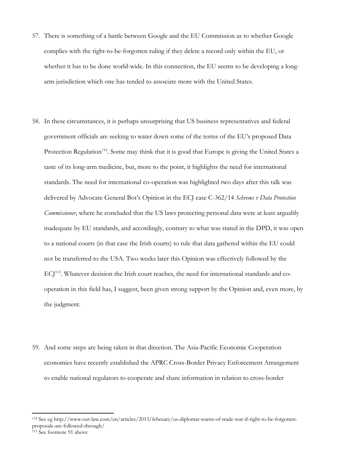- 57. There is something of a battle between Google and the EU Commission as to whether Google complies with the right-to-be-forgotten ruling if they delete a record only within the EU, or whether it has to be done world-wide. In this connection, the EU seems to be developing a longarm jurisdiction which one has tended to associate more with the United States.
- 58. In these circumstances, it is perhaps unsurprising that US business representatives and federal government officials are seeking to water down some of the terms of the EU's proposed Data Protection Regulation<sup>114</sup>. Some may think that it is good that Europe is giving the United States a taste of its long-arm medicine, but, more to the point, it highlights the need for international standards. The need for international co-operation was highlighted two days after this talk was delivered by Advocate General Bot's Opinion in the ECJ case C-362/14 *Schrems v Data Protection Commissioner*, where he concluded that the US laws protecting personal data were at least arguably inadequate by EU standards, and accordingly, contrary to what was stated in the DPD, it was open to a national courts (in that case the Irish courts) to rule that data gathered within the EU could not be transferred to the USA. Two weeks later this Opinion was effectively followed by the ECJ<sup>115</sup>. Whatever decision the Irish court reaches, the need for international standards and cooperation in this field has, I suggest, been given strong support by the Opinion and, even more, by the judgment.
- 59. And some steps are being taken in that direction. The Asia-Pacific Economic Cooperation economies have recently established the APRC Cross-Border Privacy Enforcement Arrangement to enable national regulators to cooperate and share information in relation to cross-border

<sup>114</sup> See eg http://www.out-law.com/en/articles/2013/february/us-diplomat-warns-of-trade-war-if-right-to-be-forgottenproposals-are-followed-through/

<sup>115</sup> See footnote 91 above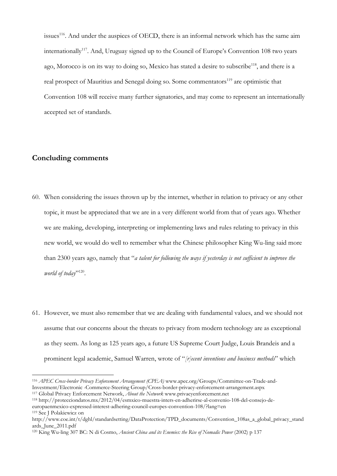issues<sup>116</sup>. And under the auspices of OECD, there is an informal network which has the same aim internationally<sup>117</sup>. And, Uruguay signed up to the Council of Europe's Convention 108 two years ago, Morocco is on its way to doing so, Mexico has stated a desire to subscribe<sup>118</sup>, and there is a real prospect of Mauritius and Senegal doing so. Some commentators<sup>119</sup> are optimistic that Convention 108 will receive many further signatories, and may come to represent an internationally accepted set of standards.

### **Concluding comments**

- 60. When considering the issues thrown up by the internet, whether in relation to privacy or any other topic, it must be appreciated that we are in a very different world from that of years ago. Whether we are making, developing, interpreting or implementing laws and rules relating to privacy in this new world, we would do well to remember what the Chinese philosopher King Wu-ling said more than 2300 years ago, namely that "*a talent for following the ways if yesterday is not sufficient to improve the*  world of today<sup>"120</sup>.
- 61. However, we must also remember that we are dealing with fundamental values, and we should not assume that our concerns about the threats to privacy from modern technology are as exceptional as they seem. As long as 125 years ago, a future US Supreme Court Judge, Louis Brandeis and a prominent legal academic, Samuel Warren, wrote of "*[r]ecent inventions and business methods*" which

<sup>116</sup> *APEC Cross-border Privacy Enforcement Arrangement (CPEA)* www.apec.org/Groups/Committee-on-Trade-and-Investment/Electronic -Commerce-Steering Group/Cross-border-privacy-enforcement-arrangement.aspx <sup>117</sup> Global Privacy Enforcement Network, *About the Network* www.privacyenforcement.net

<sup>118</sup> http://protecciondatos.mx/2012/04/esmxico-muestra-inters-en-adherirse-al-convenio-108-del-consejo-deeuropaenmexico-expressed-interest-adhering-council-europes-convention-108/?lang=en

<sup>119</sup> See J Polakiewicz on

http://www.coe.int/t/dghl/standardsetting/DataProtection/TPD\_documents/Convention\_108as\_a\_global\_privacy\_stand ards\_June\_2011.pdf

<sup>&</sup>lt;sup>120</sup> King Wu-ling 307 BC: N di Cosmo, *Ancient China and its Enemies: the Rise of Nomadic Power* (2002) p 137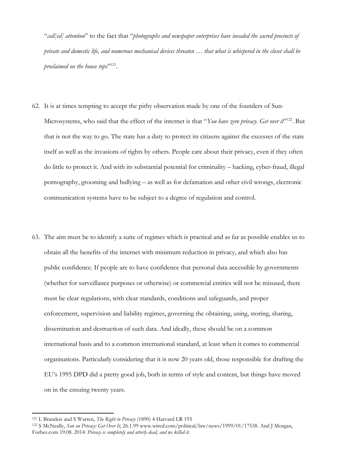"*call[ed] attention*" to the fact that "*photographs and newspaper enterprises have invaded the sacred precincts of private and domestic life, and numerous mechanical devices threaten … that what is whispered in the closet shall be proclaimed on the house tops*" 121 .

- 62. It is at times tempting to accept the pithy observation made by one of the founders of Sun-Microsystems, who said that the effect of the internet is that "You have zero privacy. Get over it<sup>2122</sup>. But that is not the way to go. The state has a duty to protect its citizens against the excesses of the state itself as well as the invasions of rights by others. People care about their privacy, even if they often do little to protect it. And with its substantial potential for criminality – hacking, cyber-fraud, illegal pornography, grooming and bullying – as well as for defamation and other civil wrongs, electronic communication systems have to be subject to a degree of regulation and control.
- 63. The aim must be to identify a suite of regimes which is practical and as far as possible enables us to obtain all the benefits of the internet with minimum reduction in privacy, and which also has public confidence. If people are to have confidence that personal data accessible by governments (whether for surveillance purposes or otherwise) or commercial entities will not be misused, there must be clear regulations, with clear standards, conditions and safeguards, and proper enforcement, supervision and liability regimes, governing the obtaining, using, storing, sharing, dissemination and destruction of such data. And ideally, these should be on a common international basis and to a common international standard, at least when it comes to commercial organisations. Particularly considering that it is now 20 years old, those responsible for drafting the EU's 1995 DPD did a pretty good job, both in terms of style and content, but things have moved on in the ensuing twenty years.

<sup>121</sup> L Brandeis and S Warren, *The Right to Privacy* (1890) 4 Harvard LR 193

<sup>122</sup> S McNeally, *Sun on Privacy: Get Over It*, 26.1.99 [www.wired.com/political/law/news/1999/01/17538.](http://www.wired.com/political/law/news/1999/01/17538) And J Morgan, Forbes.com 19.08. 2014: *Privacy is completely and utterly dead, and we killed it.*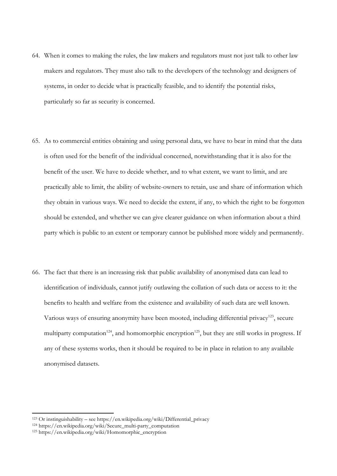- 64. When it comes to making the rules, the law makers and regulators must not just talk to other law makers and regulators. They must also talk to the developers of the technology and designers of systems, in order to decide what is practically feasible, and to identify the potential risks, particularly so far as security is concerned.
- 65. As to commercial entities obtaining and using personal data, we have to bear in mind that the data is often used for the benefit of the individual concerned, notwithstanding that it is also for the benefit of the user. We have to decide whether, and to what extent, we want to limit, and are practically able to limit, the ability of website-owners to retain, use and share of information which they obtain in various ways. We need to decide the extent, if any, to which the right to be forgotten should be extended, and whether we can give clearer guidance on when information about a third party which is public to an extent or temporary cannot be published more widely and permanently.
- 66. The fact that there is an increasing risk that public availability of anonymised data can lead to identification of individuals, cannot jutify outlawing the collation of such data or access to it: the benefits to health and welfare from the existence and availability of such data are well known. Various ways of ensuring anonymity have been mooted, including differential privacy<sup>123</sup>, secure multiparty computation<sup>124</sup>, and homomorphic encryption<sup>125</sup>, but they are still works in progress. If any of these systems works, then it should be required to be in place in relation to any available anonymised datasets.

<sup>&</sup>lt;sup>123</sup> Or instinguishability – see https://en.wikipedia.org/wiki/Differential\_privacy

<sup>124</sup> https://en.wikipedia.org/wiki/Secure\_multi-party\_computation

<sup>125</sup> https://en.wikipedia.org/wiki/Homomorphic\_encryption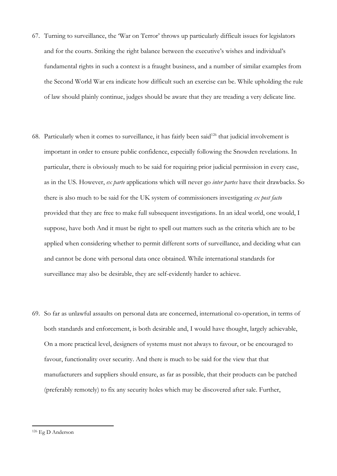- 67. Turning to surveillance, the 'War on Terror' throws up particularly difficult issues for legislators and for the courts. Striking the right balance between the executive's wishes and individual's fundamental rights in such a context is a fraught business, and a number of similar examples from the Second World War era indicate how difficult such an exercise can be. While upholding the rule of law should plainly continue, judges should be aware that they are treading a very delicate line.
- 68. Particularly when it comes to surveillance, it has fairly been said<sup>126</sup> that judicial involvement is important in order to ensure public confidence, especially following the Snowden revelations. In particular, there is obviously much to be said for requiring prior judicial permission in every case, as in the US. However, *ex parte* applications which will never go *inter partes* have their drawbacks. So there is also much to be said for the UK system of commissioners investigating *ex post facto* provided that they are free to make full subsequent investigations. In an ideal world, one would, I suppose, have both And it must be right to spell out matters such as the criteria which are to be applied when considering whether to permit different sorts of surveillance, and deciding what can and cannot be done with personal data once obtained. While international standards for surveillance may also be desirable, they are self-evidently harder to achieve.
- 69. So far as unlawful assaults on personal data are concerned, international co-operation, in terms of both standards and enforcement, is both desirable and, I would have thought, largely achievable, On a more practical level, designers of systems must not always to favour, or be encouraged to favour, functionality over security. And there is much to be said for the view that that manufacturers and suppliers should ensure, as far as possible, that their products can be patched (preferably remotely) to fix any security holes which may be discovered after sale. Further,

<sup>126</sup> Eg D Anderson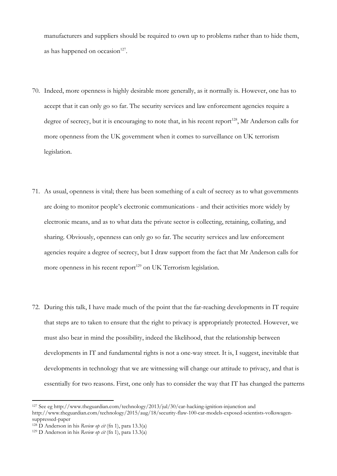manufacturers and suppliers should be required to own up to problems rather than to hide them, as has happened on occasion $127$ .

- 70. Indeed, more openness is highly desirable more generally, as it normally is. However, one has to accept that it can only go so far. The security services and law enforcement agencies require a degree of secrecy, but it is encouraging to note that, in his recent report<sup>128</sup>, Mr Anderson calls for more openness from the UK government when it comes to surveillance on UK terrorism legislation.
- 71. As usual, openness is vital; there has been something of a cult of secrecy as to what governments are doing to monitor people's electronic communications - and their activities more widely by electronic means, and as to what data the private sector is collecting, retaining, collating, and sharing. Obviously, openness can only go so far. The security services and law enforcement agencies require a degree of secrecy, but I draw support from the fact that Mr Anderson calls for more openness in his recent report $129$  on UK Terrorism legislation.
- 72. During this talk, I have made much of the point that the far-reaching developments in IT require that steps are to taken to ensure that the right to privacy is appropriately protected. However, we must also bear in mind the possibility, indeed the likelihood, that the relationship between developments in IT and fundamental rights is not a one-way street. It is, I suggest, inevitable that developments in technology that we are witnessing will change our attitude to privacy, and that is essentially for two reasons. First, one only has to consider the way that IT has changed the patterns

 $\overline{\phantom{a}}$ <sup>127</sup> See eg<http://www.theguardian.com/technology/2013/jul/30/car-hacking-ignition-injunction> and http://www.theguardian.com/technology/2015/aug/18/security-flaw-100-car-models-exposed-scientists-volkswagensuppressed-paper

<sup>128</sup> D Anderson in his *Review op cit* (fn 1), para 13.3(a)

<sup>129</sup> D Anderson in his *Review op cit* (fn 1), para 13.3(a)